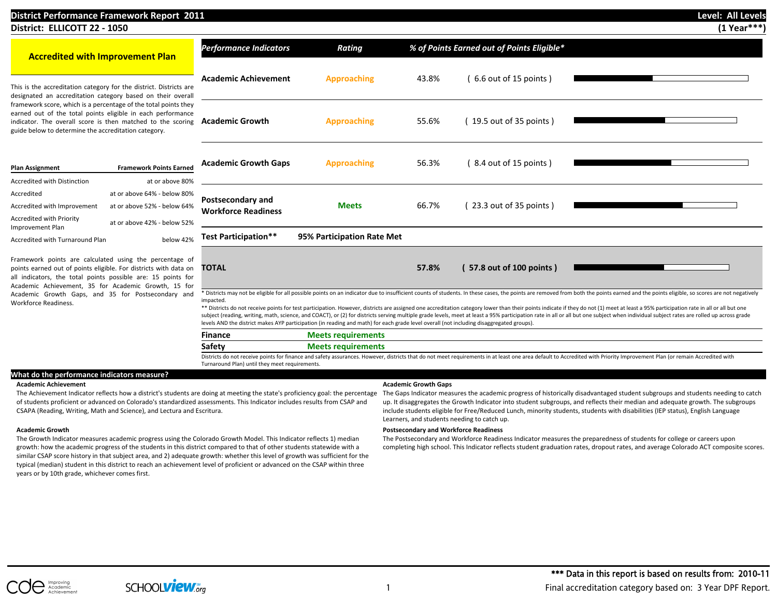## **District Performance Framework Report 2011 Level: All Levels District: ELLICOTT 22 - 1050 (1 Year\*\*\*) Accredited with Improvement Plan** This is the accreditation category for the district. Districts are designated an accreditation category based on their overall framework score, which is a percentage of the total points they earned out of the total points eligible in each performance indicator. The overall score is then matched to the scoring guide below to determine the accreditation category. **Plan Assignment Framework Points Earned** Accredited with Distinction at or above 80% Accredited at or above 64% - below 80% Accredited with Improvement at or above 52% - below 64% Accredited with Priority Improvement Plan at or above 42% - below 52% Accredited with Turnaround Plan below 42% Framework points are calculated using the percentage of points earned out of points eligible. For districts with data on all indicators, the total points possible are: 15 points for Academic Achievement, 35 for Academic Growth, 15 for *Performance Indicators Rating % of Points Earned out of Points Eligible\** **Academic Achievement Approaching** 43.8% ( 6.6 out of 15 points ) **Academic Growth Approaching** 55.6% ( 19.5 out of 35 points ) **Academic Growth Gaps Approaching** 56.3% ( 8.4 out of 15 points ) **Postsecondary and Meets** 66.7% (23.3 out of 35 points )<br> **Workforce Readiness Test Participation\*\* 95% Participation Rate Met TOTAL 57.8% ( 57.8 out of 100 points )**

\* Districts may not be eligible for all possible points on an indicator due to insufficient counts of students. In these cases, the points are removed from both the points earned and the points eligible, so scores are not impacted.

\*\* Districts do not receive points for test participation. However, districts are assigned one accreditation category lower than their points indicate if they do not (1) meet at least a 95% participation rate in all or all subject (reading, writing, math, science, and COACT), or (2) for districts serving multiple grade levels, meet at least a 95% participation rate in all or all but one subject when individual subject rates are rolled up acr levels AND the district makes AYP participation (in reading and math) for each grade level overall (not including disaggregated groups).

| Finance |                                                                                                                                                                                                                        |
|---------|------------------------------------------------------------------------------------------------------------------------------------------------------------------------------------------------------------------------|
| Safety  |                                                                                                                                                                                                                        |
|         | Districts do not receive points for finance and safety assurances. However, districts that do not meet requirements in at least one area default to Accredited with Priority Improvement Plan (or remain Accredited wi |

Districts do not receive points for finance and safety assurances. However, districts that do not meet requirements in at least one area default to Accredited with Priority Improvement Plan (or remain Accredited with Turnaround Plan) until they meet requirements.

## **What do the performance indicators measure?**

Academic Growth Gaps, and 35 for Postsecondary and

### **Academic Achievement Academic Growth Gaps**

The Achievement Indicator reflects how a district's students are doing at meeting the state's proficiency goal: the percentage of students proficient or advanced on Colorado's standardized assessments. This Indicator includes results from CSAP and CSAPA (Reading, Writing, Math and Science), and Lectura and Escritura.

Workforce Readiness.

The Growth Indicator measures academic progress using the Colorado Growth Model. This Indicator reflects 1) median growth: how the academic progress of the students in this district compared to that of other students statewide with a similar CSAP score history in that subject area, and 2) adequate growth: whether this level of growth was sufficient for the typical (median) student in this district to reach an achievement level of proficient or advanced on the CSAP within three years or by 10th grade, whichever comes first.

The Gaps Indicator measures the academic progress of historically disadvantaged student subgroups and students needing to catch up. It disaggregates the Growth Indicator into student subgroups, and reflects their median and adequate growth. The subgroups include students eligible for Free/Reduced Lunch, minority students, students with disabilities (IEP status), English Language Learners, and students needing to catch up.

### **Academic Growth Postsecondary and Workforce Readiness**

The Postsecondary and Workforce Readiness Indicator measures the preparedness of students for college or careers upon completing high school. This Indicator reflects student graduation rates, dropout rates, and average Colorado ACT composite scores.

SCHOOL**VIeW**.org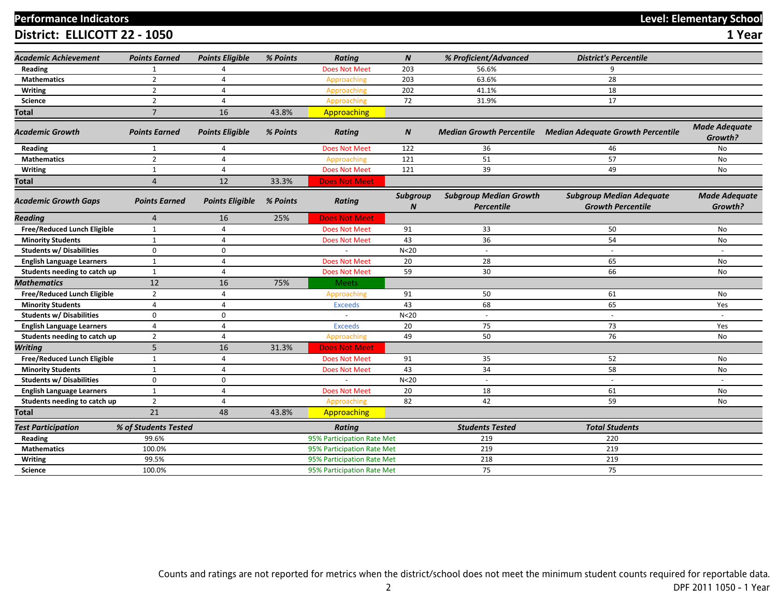# **Performance Indicators Level: Elementary School**

**District: ELLICOTT 22 - 1050** 

| ۰.<br>v |  |
|---------|--|
|         |  |

| Academic Achievement             | <b>Points Earned</b> | <b>Points Eligible</b> | % Points | <b>Rating</b>              | $\boldsymbol{N}$ | % Proficient/Advanced                              | <b>District's Percentile</b>                                |                                 |
|----------------------------------|----------------------|------------------------|----------|----------------------------|------------------|----------------------------------------------------|-------------------------------------------------------------|---------------------------------|
| Reading                          | $\mathbf{1}$         | $\boldsymbol{\Lambda}$ |          | <b>Does Not Meet</b>       | 203              | 56.6%                                              | $\mathbf{q}$                                                |                                 |
| <b>Mathematics</b>               | $\overline{2}$       | $\overline{a}$         |          | Approaching                | 203              | 63.6%                                              | 28                                                          |                                 |
| <b>Writing</b>                   | $\overline{2}$       | 4                      |          | Approaching                | 202              | 41.1%                                              | 18                                                          |                                 |
| <b>Science</b>                   | $\overline{2}$       | 4                      |          | Approaching                | 72               | 31.9%                                              | 17                                                          |                                 |
| Total                            | $\overline{7}$       | 16                     | 43.8%    | Approaching                |                  |                                                    |                                                             |                                 |
| Academic Growth                  | <b>Points Earned</b> | <b>Points Eligible</b> | % Points | <b>Rating</b>              | $\boldsymbol{N}$ |                                                    | Median Growth Percentile Median Adequate Growth Percentile  | <b>Made Adequate</b><br>Growth? |
| Reading                          | 1                    | 4                      |          | <b>Does Not Meet</b>       | 122              | 36                                                 | 46                                                          | <b>No</b>                       |
| <b>Mathematics</b>               | $\overline{2}$       | 4                      |          | Approaching                | 121              | 51                                                 | 57                                                          | <b>No</b>                       |
| Writing                          | 1                    | 4                      |          | <b>Does Not Meet</b>       | 121              | 39                                                 | 49                                                          | No                              |
| Total                            | 4                    | 12                     | 33.3%    | <b>Does Not Meet</b>       |                  |                                                    |                                                             |                                 |
| <b>Academic Growth Gaps</b>      | <b>Points Earned</b> | <b>Points Eligible</b> | % Points | Rating                     | Subgroup         | <b>Subgroup Median Growth</b><br><b>Percentile</b> | <b>Subgroup Median Adequate</b><br><b>Growth Percentile</b> | <b>Made Adequate</b><br>Growth? |
| Reading                          | 4                    | 16                     | 25%      | <b>Does Not Meet</b>       |                  |                                                    |                                                             |                                 |
| Free/Reduced Lunch Eligible      | $\mathbf{1}$         | 4                      |          | <b>Does Not Meet</b>       | 91               | 33                                                 | 50                                                          | No                              |
| <b>Minority Students</b>         | $\mathbf{1}$         | $\overline{4}$         |          | <b>Does Not Meet</b>       | 43               | 36                                                 | 54                                                          | No                              |
| <b>Students w/ Disabilities</b>  | $\mathbf 0$          | $\mathbf 0$            |          |                            | N <sub>20</sub>  | $\overline{\phantom{a}}$                           |                                                             |                                 |
| <b>English Language Learners</b> | $\mathbf{1}$         | $\overline{4}$         |          | <b>Does Not Meet</b>       | 20               | 28                                                 | 65                                                          | <b>No</b>                       |
| Students needing to catch up     | $\mathbf{1}$         | 4                      |          | <b>Does Not Meet</b>       | 59               | 30                                                 | 66                                                          | No                              |
| <b>Mathematics</b>               | 12                   | 16                     | 75%      | <b>Meets</b>               |                  |                                                    |                                                             |                                 |
| Free/Reduced Lunch Eligible      | $\overline{2}$       | $\overline{4}$         |          | Approaching                | 91               | 50                                                 | 61                                                          | No                              |
| <b>Minority Students</b>         | $\overline{4}$       | $\overline{4}$         |          | <b>Exceeds</b>             | 43               | 68                                                 | 65                                                          | Yes                             |
| <b>Students w/ Disabilities</b>  | $\mathbf 0$          | $\mathbf 0$            |          | $\sim$                     | N < 20           | $\sim$                                             | $\sim$                                                      | $\sim$                          |
| <b>English Language Learners</b> | $\overline{4}$       | $\overline{a}$         |          | <b>Exceeds</b>             | 20               | 75                                                 | 73                                                          | Yes                             |
| Students needing to catch up     | $\overline{2}$       | $\overline{a}$         |          | Approaching                | 49               | 50                                                 | 76                                                          | <b>No</b>                       |
| <b>Writing</b>                   | 5                    | 16                     | 31.3%    | <b>Does Not Meet</b>       |                  |                                                    |                                                             |                                 |
| Free/Reduced Lunch Eligible      | $\mathbf{1}$         | 4                      |          | <b>Does Not Meet</b>       | 91               | 35                                                 | 52                                                          | No                              |
| <b>Minority Students</b>         | $\mathbf{1}$         | 4                      |          | <b>Does Not Meet</b>       | 43               | 34                                                 | 58                                                          | No                              |
| Students w/ Disabilities         | $\mathbf 0$          | $\mathbf 0$            |          |                            | N <sub>20</sub>  | $\sim$                                             |                                                             |                                 |
| <b>English Language Learners</b> | $\mathbf{1}$         | $\overline{a}$         |          | <b>Does Not Meet</b>       | 20               | 18                                                 | 61                                                          | No                              |
| Students needing to catch up     | $\overline{2}$       | 4                      |          | Approaching                | 82               | 42                                                 | 59                                                          | No                              |
| Total                            | 21                   | 48                     | 43.8%    | Approaching                |                  |                                                    |                                                             |                                 |
| <b>Test Participation</b>        | % of Students Tested |                        |          | <b>Rating</b>              |                  | <b>Students Tested</b>                             | <b>Total Students</b>                                       |                                 |
| Reading                          | 99.6%                |                        |          | 95% Participation Rate Met |                  | 219                                                | 220                                                         |                                 |
| <b>Mathematics</b>               | 100.0%               |                        |          | 95% Participation Rate Met |                  | 219                                                | 219                                                         |                                 |
| <b>Writing</b>                   | 99.5%                |                        |          | 95% Participation Rate Met |                  | 218                                                | 219                                                         |                                 |
| <b>Science</b>                   | 100.0%               |                        |          | 95% Participation Rate Met |                  | 75                                                 | 75                                                          |                                 |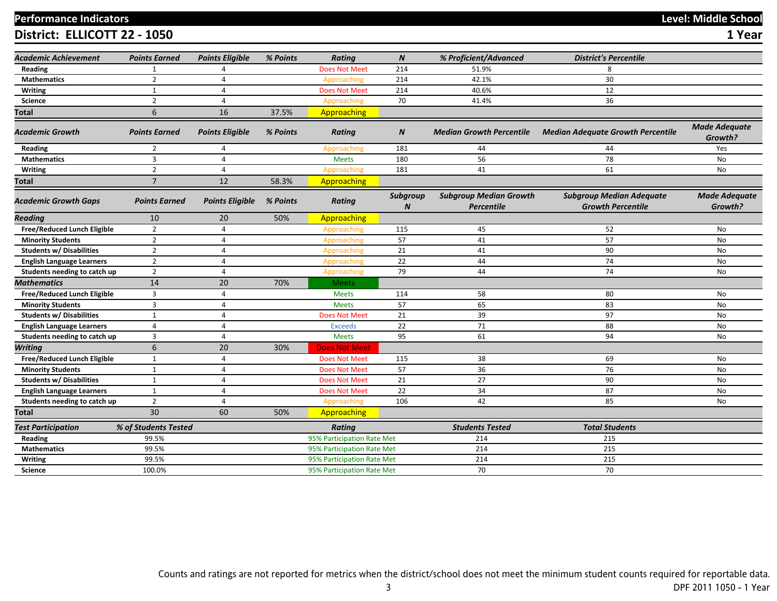# **Performance Indicators Level: Middle School**

**District: ELLICOTT 22 - 1050 1 Year**

| <b>Academic Achievement</b>        | <b>Points Earned</b> | <b>Points Eligible</b> | % Points | <b>Rating</b>              | $\boldsymbol{N}$             | % Proficient/Advanced                       | <b>District's Percentile</b>                                |                                 |
|------------------------------------|----------------------|------------------------|----------|----------------------------|------------------------------|---------------------------------------------|-------------------------------------------------------------|---------------------------------|
| Reading                            | 1                    | Δ                      |          | <b>Does Not Meet</b>       | 214                          | 51.9%                                       | 8                                                           |                                 |
| <b>Mathematics</b>                 | $\overline{2}$       | 4                      |          | Approaching                | 214                          | 42.1%                                       | 30                                                          |                                 |
| <b>Writing</b>                     | $\mathbf{1}$         | 4                      |          | <b>Does Not Meet</b>       | 214                          | 40.6%                                       | 12                                                          |                                 |
| Science                            | $\overline{2}$       | 4                      |          | Approaching                | 70                           | 41.4%                                       | 36                                                          |                                 |
| Total                              | 6                    | 16                     | 37.5%    | Approaching                |                              |                                             |                                                             |                                 |
| Academic Growth                    | <b>Points Earned</b> | <b>Points Eligible</b> | % Points | <b>Rating</b>              | $\boldsymbol{N}$             | <b>Median Growth Percentile</b>             | <b>Median Adequate Growth Percentile</b>                    | <b>Made Adequate</b><br>Growth? |
| Reading                            | $\overline{2}$       | 4                      |          | Approaching                | 181                          | 44                                          | 44                                                          | Yes                             |
| <b>Mathematics</b>                 | 3                    | 4                      |          | <b>Meets</b>               | 180                          | 56                                          | 78                                                          | No                              |
| Writing                            | $\overline{2}$       | 4                      |          | Approaching                | 181                          | 41                                          | 61                                                          | No                              |
| Total                              | $\overline{7}$       | 12                     | 58.3%    | Approaching                |                              |                                             |                                                             |                                 |
| <b>Academic Growth Gaps</b>        | <b>Points Earned</b> | <b>Points Eligible</b> | % Points | <b>Rating</b>              | Subgroup<br>$\boldsymbol{N}$ | <b>Subgroup Median Growth</b><br>Percentile | <b>Subgroup Median Adequate</b><br><b>Growth Percentile</b> | <b>Made Adequate</b><br>Growth? |
| Reading                            | 10                   | 20                     | 50%      | Approaching                |                              |                                             |                                                             |                                 |
| Free/Reduced Lunch Eligible        | $\overline{2}$       | $\overline{4}$         |          | Approaching                | 115                          | 45                                          | 52                                                          | No                              |
| <b>Minority Students</b>           | $\overline{2}$       | 4                      |          | Approaching                | 57                           | 41                                          | 57                                                          | No                              |
| <b>Students w/ Disabilities</b>    | $\overline{2}$       | 4                      |          | Approaching                | 21                           | 41                                          | 90                                                          | No                              |
| <b>English Language Learners</b>   | $\overline{2}$       | $\overline{4}$         |          | Approaching                | 22                           | 44                                          | 74                                                          | No                              |
| Students needing to catch up       | $\overline{2}$       | 4                      |          | Approaching                | 79                           | 44                                          | 74                                                          | No                              |
| Mathematics                        | 14                   | 20                     | 70%      | <b>Meets</b>               |                              |                                             |                                                             |                                 |
| Free/Reduced Lunch Eligible        | $\overline{3}$       | 4                      |          | <b>Meets</b>               | 114                          | 58                                          | 80                                                          | No                              |
| <b>Minority Students</b>           | $\overline{3}$       | 4                      |          | <b>Meets</b>               | 57                           | 65                                          | 83                                                          | No                              |
| <b>Students w/ Disabilities</b>    | $\mathbf{1}$         | $\overline{a}$         |          | <b>Does Not Meet</b>       | 21                           | 39                                          | 97                                                          | No                              |
| <b>English Language Learners</b>   | $\overline{4}$       | $\overline{4}$         |          | <b>Exceeds</b>             | 22                           | 71                                          | 88                                                          | No                              |
| Students needing to catch up       | $\overline{3}$       | 4                      |          | <b>Meets</b>               | 95                           | 61                                          | 94                                                          | No                              |
| <b>Writing</b>                     | 6                    | 20                     | 30%      | <b>Does Not Meet</b>       |                              |                                             |                                                             |                                 |
| <b>Free/Reduced Lunch Eligible</b> | $\mathbf{1}$         | $\overline{a}$         |          | <b>Does Not Meet</b>       | 115                          | 38                                          | 69                                                          | No                              |
| <b>Minority Students</b>           | $\mathbf{1}$         | $\overline{a}$         |          | <b>Does Not Meet</b>       | 57                           | 36                                          | 76                                                          | No                              |
| <b>Students w/ Disabilities</b>    | $\mathbf{1}$         | 4                      |          | <b>Does Not Meet</b>       | 21                           | 27                                          | 90                                                          | No                              |
| <b>English Language Learners</b>   | $\mathbf{1}$         | $\overline{4}$         |          | Does Not Meet              | 22                           | 34                                          | 87                                                          | No                              |
| Students needing to catch up       | $\overline{2}$       | 4                      |          | Approaching                | 106                          | 42                                          | 85                                                          | No                              |
| Total                              | 30                   | 60                     | 50%      | Approaching                |                              |                                             |                                                             |                                 |
| <b>Test Participation</b>          | % of Students Tested |                        |          | <b>Rating</b>              |                              | <b>Students Tested</b>                      | <b>Total Students</b>                                       |                                 |
| Reading                            | 99.5%                |                        |          | 95% Participation Rate Met |                              | 214                                         | 215                                                         |                                 |
| <b>Mathematics</b>                 | 99.5%                |                        |          | 95% Participation Rate Met |                              | 214                                         | 215                                                         |                                 |
| Writing                            | 99.5%                |                        |          | 95% Participation Rate Met |                              | 214                                         | 215                                                         |                                 |
| <b>Science</b>                     | 100.0%               |                        |          | 95% Participation Rate Met |                              | 70                                          | 70                                                          |                                 |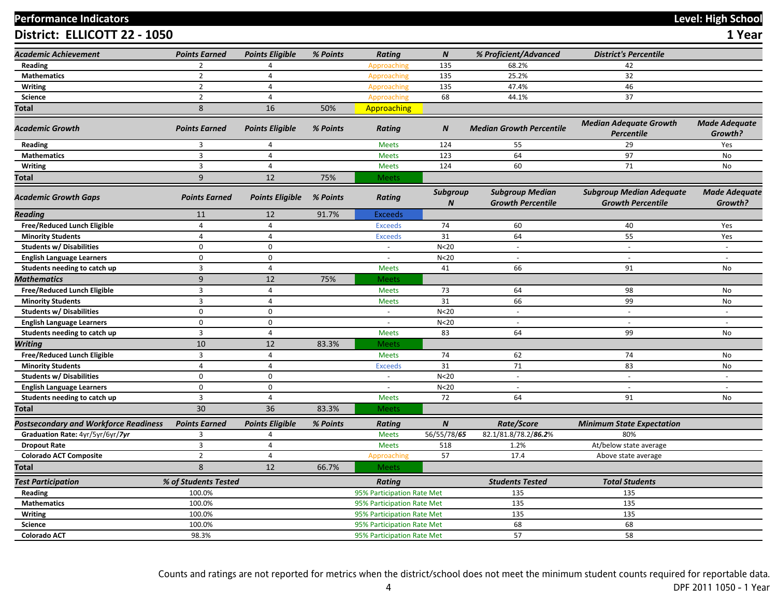# **Performance Indicators Level: High School**

**District: ELLICOTT 22 - 1050 1 Year**

|                                       |                                  |                        |          |                            | $\boldsymbol{N}$             |                                                    | <b>District's Percentile</b>                                |                                 |
|---------------------------------------|----------------------------------|------------------------|----------|----------------------------|------------------------------|----------------------------------------------------|-------------------------------------------------------------|---------------------------------|
| <b>Academic Achievement</b>           | <b>Points Earned</b>             | <b>Points Eligible</b> | % Points | <b>Rating</b>              |                              | % Proficient/Advanced                              |                                                             |                                 |
| Reading                               | $\overline{2}$                   | 4                      |          | Approaching                | 135                          | 68.2%                                              | 42                                                          |                                 |
| <b>Mathematics</b>                    | $\overline{2}$<br>$\overline{2}$ | $\overline{4}$         |          | Approaching                | 135                          | 25.2%                                              | 32                                                          |                                 |
| <b>Writing</b>                        |                                  | $\overline{4}$         |          | Approaching                | 135                          | 47.4%                                              | 46                                                          |                                 |
| <b>Science</b>                        | $\overline{2}$                   | 4                      |          | Approaching                | 68                           | 44.1%                                              | 37                                                          |                                 |
| Total                                 | $\,8\,$                          | 16                     | 50%      | Approaching                |                              |                                                    |                                                             |                                 |
| <b>Academic Growth</b>                | <b>Points Earned</b>             | <b>Points Eligible</b> | % Points | <b>Rating</b>              | $\boldsymbol{N}$             | <b>Median Growth Percentile</b>                    | <b>Median Adequate Growth</b><br><b>Percentile</b>          | <b>Made Adequate</b><br>Growth? |
| Reading                               | 3                                | $\overline{4}$         |          | <b>Meets</b>               | 124                          | 55                                                 | 29                                                          | Yes                             |
| <b>Mathematics</b>                    | $\overline{\mathbf{3}}$          | $\overline{4}$         |          | <b>Meets</b>               | 123                          | 64                                                 | 97                                                          | No                              |
| <b>Writing</b>                        | $\overline{3}$                   | $\overline{4}$         |          | <b>Meets</b>               | 124                          | 60                                                 | 71                                                          | No                              |
| Total                                 | 9                                | 12                     | 75%      | <b>Meets</b>               |                              |                                                    |                                                             |                                 |
| <b>Academic Growth Gaps</b>           | <b>Points Earned</b>             | <b>Points Eligible</b> | % Points | <b>Rating</b>              | Subgroup<br>$\boldsymbol{N}$ | <b>Subgroup Median</b><br><b>Growth Percentile</b> | <b>Subgroup Median Adequate</b><br><b>Growth Percentile</b> | <b>Made Adequate</b><br>Growth? |
| Reading                               | 11                               | 12                     | 91.7%    | <b>Exceeds</b>             |                              |                                                    |                                                             |                                 |
| Free/Reduced Lunch Eligible           | $\overline{4}$                   | $\overline{4}$         |          | <b>Exceeds</b>             | 74                           | 60                                                 | 40                                                          | Yes                             |
| <b>Minority Students</b>              | $\overline{4}$                   | 4                      |          | <b>Exceeds</b>             | 31                           | 64                                                 | 55                                                          | Yes                             |
| <b>Students w/ Disabilities</b>       | $\mathbf 0$                      | $\boldsymbol{0}$       |          | $\sim$                     | N < 20                       | $\sim$                                             | $\omega$                                                    | $\sim$                          |
| <b>English Language Learners</b>      | $\mathbf 0$                      | $\mathbf 0$            |          | $\blacksquare$             | N <sub>20</sub>              | $\sim$                                             | $\blacksquare$                                              |                                 |
| Students needing to catch up          | $\overline{3}$                   | $\overline{4}$         |          | <b>Meets</b>               | 41                           | 66                                                 | 91                                                          | No                              |
| <b>Mathematics</b>                    | 9                                | 12                     | 75%      | <b>Meets</b>               |                              |                                                    |                                                             |                                 |
| Free/Reduced Lunch Eligible           | $\overline{3}$                   | $\overline{4}$         |          | <b>Meets</b>               | 73                           | 64                                                 | 98                                                          | <b>No</b>                       |
| <b>Minority Students</b>              | $\overline{3}$                   | $\overline{4}$         |          | <b>Meets</b>               | 31                           | 66                                                 | 99                                                          | <b>No</b>                       |
| <b>Students w/ Disabilities</b>       | $\mathbf 0$                      | 0                      |          | $\sim$                     | N < 20                       | $\sim$                                             | $\omega$                                                    | $\sim$                          |
| <b>English Language Learners</b>      | $\mathbf 0$                      | $\mathbf 0$            |          | $\sim$                     | N < 20                       | $\sim$                                             | $\sim$                                                      | $\sim$                          |
| Students needing to catch up          | $\overline{3}$                   | 4                      |          | <b>Meets</b>               | 83                           | 64                                                 | 99                                                          | No                              |
| Writing                               | 10                               | 12                     | 83.3%    | <b>Meets</b>               |                              |                                                    |                                                             |                                 |
| Free/Reduced Lunch Eligible           | $\overline{3}$                   | $\overline{4}$         |          | <b>Meets</b>               | 74                           | 62                                                 | 74                                                          | No                              |
| <b>Minority Students</b>              | $\overline{4}$                   | $\overline{4}$         |          | <b>Exceeds</b>             | 31                           | $71\,$                                             | 83                                                          | No                              |
| <b>Students w/ Disabilities</b>       | $\mathbf 0$                      | 0                      |          | $\sim$                     | N < 20                       | $\sim$                                             | $\sim$                                                      |                                 |
| <b>English Language Learners</b>      | $\mathbf 0$                      | $\mathbf 0$            |          |                            | N <sub>20</sub>              |                                                    |                                                             |                                 |
| Students needing to catch up          | $\overline{\mathbf{3}}$          | 4                      |          | <b>Meets</b>               | 72                           | 64                                                 | 91                                                          | No                              |
| Total                                 | 30                               | 36                     | 83.3%    | <b>Meets</b>               |                              |                                                    |                                                             |                                 |
| Postsecondary and Workforce Readiness | <b>Points Earned</b>             | <b>Points Eligible</b> | % Points | Rating                     | $\boldsymbol{N}$             | Rate/Score                                         | <b>Minimum State Expectation</b>                            |                                 |
| Graduation Rate: 4yr/5yr/6yr/7yr      | 3                                | 4                      |          | <b>Meets</b>               | 56/55/78/65                  | 82.1/81.8/78.2/86.2%                               | 80%                                                         |                                 |
| <b>Dropout Rate</b>                   | $\overline{3}$                   | $\overline{4}$         |          | <b>Meets</b>               | 518                          | 1.2%                                               | At/below state average                                      |                                 |
| <b>Colorado ACT Composite</b>         | $\overline{2}$                   | $\overline{4}$         |          | Approaching                | 57                           | 17.4                                               | Above state average                                         |                                 |
| Total                                 | 8                                | 12                     | 66.7%    | <b>Meets</b>               |                              |                                                    |                                                             |                                 |
| <b>Test Participation</b>             | % of Students Tested             |                        |          | Rating                     |                              | <b>Students Tested</b>                             | <b>Total Students</b>                                       |                                 |
| Reading                               | 100.0%                           |                        |          | 95% Participation Rate Met |                              | 135                                                | 135                                                         |                                 |
| <b>Mathematics</b>                    | 100.0%                           |                        |          | 95% Participation Rate Met |                              | 135                                                | 135                                                         |                                 |
| <b>Writing</b>                        | 100.0%                           |                        |          | 95% Participation Rate Met |                              | 135                                                | 135                                                         |                                 |
| Science                               | 100.0%                           |                        |          | 95% Participation Rate Met |                              | 68                                                 | 68                                                          |                                 |
| <b>Colorado ACT</b>                   | 98.3%                            |                        |          | 95% Participation Rate Met |                              | 57                                                 | 58                                                          |                                 |

Counts and ratings are not reported for metrics when the district/school does not meet the minimum student counts required for reportable data.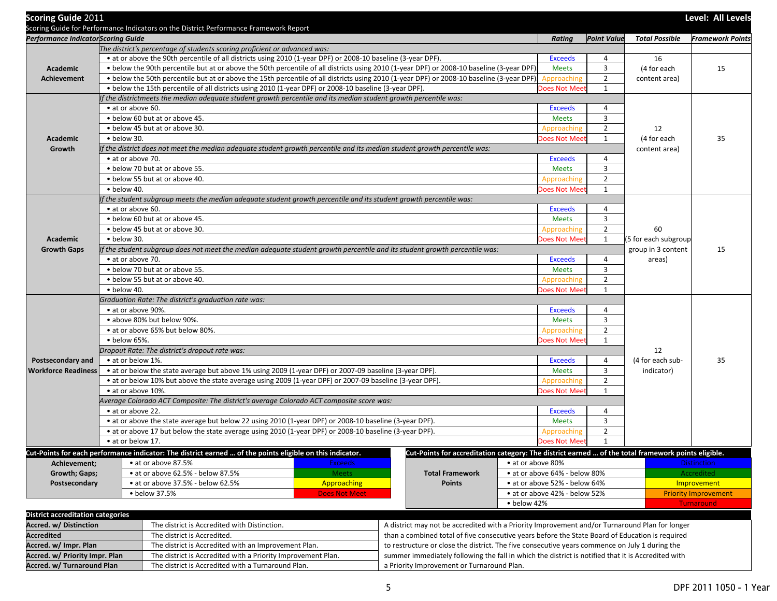| <b>Scoring Guide 2011</b>                | Scoring Guide for Performance Indicators on the District Performance Framework Report                                                                  |                      |                                                                                                    |                               |                    |                       | Level: All Levels           |  |  |
|------------------------------------------|--------------------------------------------------------------------------------------------------------------------------------------------------------|----------------------|----------------------------------------------------------------------------------------------------|-------------------------------|--------------------|-----------------------|-----------------------------|--|--|
| Performance Indicator Scoring Guide      |                                                                                                                                                        |                      |                                                                                                    | Rating                        | <b>Point Value</b> | <b>Total Possible</b> | <b>Framework Points</b>     |  |  |
|                                          | The district's percentage of students scoring proficient or advanced was:                                                                              |                      |                                                                                                    |                               |                    |                       |                             |  |  |
|                                          | • at or above the 90th percentile of all districts using 2010 (1-year DPF) or 2008-10 baseline (3-year DPF).                                           |                      |                                                                                                    | <b>Exceeds</b>                | 4                  | 16                    |                             |  |  |
| Academic                                 | . below the 90th percentile but at or above the 50th percentile of all districts using 2010 (1-year DPF) or 2008-10 baseline (3-year DPF).             |                      |                                                                                                    | <b>Meets</b>                  | 3                  | (4 for each           | 15                          |  |  |
| <b>Achievement</b>                       | • below the 50th percentile but at or above the 15th percentile of all districts using 2010 (1-year DPF) or 2008-10 baseline (3-year DPF)              |                      |                                                                                                    | Approaching                   | $\overline{2}$     | content area)         |                             |  |  |
|                                          | • below the 15th percentile of all districts using 2010 (1-year DPF) or 2008-10 baseline (3-year DPF).                                                 | $\mathbf{1}$         |                                                                                                    |                               |                    |                       |                             |  |  |
|                                          | If the districtmeets the median adequate student growth percentile and its median student growth percentile was:                                       |                      |                                                                                                    |                               |                    |                       |                             |  |  |
|                                          | • at or above 60.                                                                                                                                      |                      |                                                                                                    | <b>Exceeds</b>                | 4                  |                       |                             |  |  |
|                                          | . below 60 but at or above 45.                                                                                                                         |                      |                                                                                                    | <b>Meets</b>                  | $\overline{3}$     |                       |                             |  |  |
|                                          | • below 45 but at or above 30.                                                                                                                         |                      |                                                                                                    | Approaching                   | $\overline{2}$     | 12                    |                             |  |  |
| Academic                                 | $\bullet$ below 30.                                                                                                                                    |                      |                                                                                                    | Does Not Mee                  | 1                  | (4 for each           | 35                          |  |  |
| Growth                                   | If the district does not meet the median adequate student growth percentile and its median student growth percentile was:                              |                      |                                                                                                    |                               |                    | content area)         |                             |  |  |
|                                          | • at or above 70.                                                                                                                                      |                      |                                                                                                    | <b>Exceeds</b>                | $\overline{4}$     |                       |                             |  |  |
|                                          | . below 70 but at or above 55.                                                                                                                         |                      |                                                                                                    | <b>Meets</b>                  | 3                  |                       |                             |  |  |
|                                          | • below 55 but at or above 40.                                                                                                                         |                      | Approaching                                                                                        | $\overline{2}$                |                    |                       |                             |  |  |
|                                          | · below 40.                                                                                                                                            |                      |                                                                                                    | Does Not Mee                  | $\mathbf{1}$       |                       |                             |  |  |
|                                          | If the student subgroup meets the median adequate student growth percentile and its student growth percentile was:                                     |                      |                                                                                                    |                               |                    |                       |                             |  |  |
|                                          | • at or above 60.                                                                                                                                      |                      |                                                                                                    | <b>Exceeds</b>                | 4                  |                       |                             |  |  |
|                                          | . below 60 but at or above 45.                                                                                                                         |                      |                                                                                                    | <b>Meets</b>                  | 3                  |                       |                             |  |  |
|                                          | • below 45 but at or above 30.                                                                                                                         |                      |                                                                                                    | Approaching                   | $\overline{2}$     | 60                    |                             |  |  |
| Academic                                 | · below 30.                                                                                                                                            |                      |                                                                                                    | Does Not Mee                  | 1                  | (5 for each subgroup  |                             |  |  |
| <b>Growth Gaps</b>                       | group in 3 content<br>If the student subgroup does not meet the median adequate student growth percentile and its student growth percentile was:<br>15 |                      |                                                                                                    |                               |                    |                       |                             |  |  |
|                                          | • at or above 70.                                                                                                                                      | 4                    | areas)                                                                                             |                               |                    |                       |                             |  |  |
|                                          | . below 70 but at or above 55.                                                                                                                         | <b>Meets</b>         | 3                                                                                                  |                               |                    |                       |                             |  |  |
|                                          | . below 55 but at or above 40.                                                                                                                         | $\overline{2}$       |                                                                                                    |                               |                    |                       |                             |  |  |
|                                          | · below 40.                                                                                                                                            |                      |                                                                                                    | Does Not Mee                  | $\mathbf{1}$       |                       |                             |  |  |
|                                          | Graduation Rate: The district's graduation rate was:                                                                                                   |                      |                                                                                                    |                               |                    |                       |                             |  |  |
|                                          | • at or above 90%.                                                                                                                                     |                      |                                                                                                    | <b>Exceeds</b>                | 4                  |                       |                             |  |  |
|                                          | • above 80% but below 90%.                                                                                                                             |                      |                                                                                                    | <b>Meets</b>                  | 3                  |                       |                             |  |  |
|                                          | • at or above 65% but below 80%.                                                                                                                       |                      |                                                                                                    | Approaching                   | $\overline{2}$     |                       |                             |  |  |
|                                          | · below 65%.                                                                                                                                           |                      |                                                                                                    | Does Not Mee                  | $\mathbf{1}$       |                       |                             |  |  |
|                                          | Dropout Rate: The district's dropout rate was:                                                                                                         |                      |                                                                                                    |                               |                    | 12                    |                             |  |  |
| <b>Postsecondary and</b>                 | • at or below 1%.                                                                                                                                      |                      |                                                                                                    | <b>Exceeds</b>                | 4                  | (4 for each sub-      | 35                          |  |  |
| <b>Workforce Readiness</b>               | • at or below the state average but above 1% using 2009 (1-year DPF) or 2007-09 baseline (3-year DPF).                                                 |                      |                                                                                                    | <b>Meets</b>                  | $\overline{3}$     | indicator)            |                             |  |  |
|                                          | • at or below 10% but above the state average using 2009 (1-year DPF) or 2007-09 baseline (3-year DPF).                                                |                      |                                                                                                    | Approaching                   | $\overline{2}$     |                       |                             |  |  |
|                                          | • at or above 10%.                                                                                                                                     |                      |                                                                                                    | Does Not Mee                  | 1                  |                       |                             |  |  |
|                                          | Average Colorado ACT Composite: The district's average Colorado ACT composite score was:                                                               |                      |                                                                                                    |                               |                    |                       |                             |  |  |
|                                          | • at or above 22.                                                                                                                                      |                      |                                                                                                    | <b>Exceeds</b>                | 4                  |                       |                             |  |  |
|                                          | • at or above the state average but below 22 using 2010 (1-year DPF) or 2008-10 baseline (3-year DPF).                                                 |                      |                                                                                                    | <b>Meets</b>                  | 3                  |                       |                             |  |  |
|                                          | • at or above 17 but below the state average using 2010 (1-year DPF) or 2008-10 baseline (3-year DPF).                                                 |                      |                                                                                                    | Approaching                   | $\overline{2}$     |                       |                             |  |  |
|                                          | · at or below 17.                                                                                                                                      |                      |                                                                                                    | Does Not Mee                  | $\mathbf{1}$       |                       |                             |  |  |
|                                          | Cut-Points for each performance indicator: The district earned  of the points eligible on this indicator.                                              |                      | Cut-Points for accreditation category: The district earned  of the total framework points eligible |                               |                    |                       |                             |  |  |
| Achievement;                             | • at or above 87.5%                                                                                                                                    | <b>Exceeds</b>       |                                                                                                    | • at or above 80%             |                    |                       | <b>Distinction</b>          |  |  |
| Growth; Gaps;                            | • at or above 62.5% - below 87.5%                                                                                                                      | <b>Meets</b>         | <b>Total Framework</b>                                                                             | • at or above 64% - below 80% |                    |                       | Accredited                  |  |  |
| Postsecondary                            | • at or above 37.5% - below 62.5%                                                                                                                      | Approaching          | <b>Points</b>                                                                                      | • at or above 52% - below 64% |                    |                       | Improvement                 |  |  |
|                                          | • below 37.5%                                                                                                                                          | <b>Does Not Meet</b> |                                                                                                    | • at or above 42% - below 52% |                    |                       | <b>Priority Improvement</b> |  |  |
|                                          |                                                                                                                                                        |                      |                                                                                                    | • below 42%                   |                    |                       | <b>Turnaround</b>           |  |  |
| <b>District accreditation categories</b> |                                                                                                                                                        |                      |                                                                                                    |                               |                    |                       |                             |  |  |
| Accred. w/ Distinction                   | The district is Accredited with Distinction.                                                                                                           |                      | A district may not be accredited with a Priority Improvement and/or Turnaround Plan for longer     |                               |                    |                       |                             |  |  |
| <b>Accredited</b>                        | The district is Accredited.                                                                                                                            |                      | than a combined total of five consecutive years before the State Board of Education is required    |                               |                    |                       |                             |  |  |
| Accred. w/ Impr. Plan                    | The district is Accredited with an Improvement Plan.                                                                                                   |                      | to restructure or close the district. The five consecutive years commence on July 1 during the     |                               |                    |                       |                             |  |  |
| Accred. w/ Priority Impr. Plan           | The district is Accredited with a Priority Improvement Plan.                                                                                           |                      | summer immediately following the fall in which the district is notified that it is Accredited with |                               |                    |                       |                             |  |  |
| Accred. w/ Turnaround Plan               | The district is Accredited with a Turnaround Plan.                                                                                                     |                      | a Priority Improvement or Turnaround Plan.                                                         |                               |                    |                       |                             |  |  |